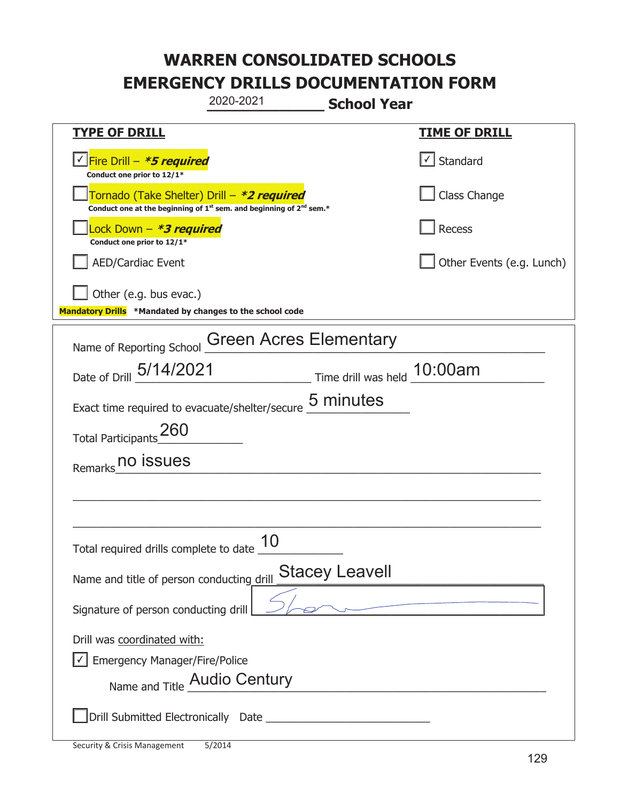|                                                                                                                                           | 2020-2021                     | <b>School Year</b>             |                                   |
|-------------------------------------------------------------------------------------------------------------------------------------------|-------------------------------|--------------------------------|-----------------------------------|
| <b>TYPE OF DRILL</b>                                                                                                                      |                               |                                | <b>TIME OF DRILL</b>              |
| <u> √ Fire Drill – <i>*5 required</i></u><br>Conduct one prior to 12/1*                                                                   |                               |                                | $\lfloor \angle \rfloor$ Standard |
| Tornado (Take Shelter) Drill – *2 required<br>Conduct one at the beginning of 1 <sup>st</sup> sem. and beginning of 2 <sup>nd</sup> sem.* |                               |                                | Class Change                      |
| Lock Down – <b>*<i>3 required</i></b><br>Conduct one prior to 12/1*                                                                       |                               |                                | Recess                            |
| <b>AED/Cardiac Event</b>                                                                                                                  |                               |                                | Other Events (e.g. Lunch)         |
| Other (e.g. bus evac.)<br>Mandatory Drills *Mandated by changes to the school code                                                        |                               |                                |                                   |
| Name of Reporting School                                                                                                                  | <b>Green Acres Elementary</b> |                                |                                   |
| Date of Drill 5/14/2021                                                                                                                   |                               | __ Time drill was held 10:00am |                                   |
| Exact time required to evacuate/shelter/secure 5 minutes                                                                                  |                               |                                |                                   |
| 260<br><b>Total Participants</b>                                                                                                          |                               |                                |                                   |
| Remarks no issues                                                                                                                         |                               |                                |                                   |
|                                                                                                                                           |                               |                                |                                   |
|                                                                                                                                           |                               |                                |                                   |
| Total required drills complete to date $\frac{10}{10}$                                                                                    |                               |                                |                                   |
| Name and title of person conducting drill                                                                                                 |                               | <b>Stacey Leavell</b>          |                                   |
| Signature of person conducting drill                                                                                                      |                               |                                |                                   |
| Drill was coordinated with:                                                                                                               |                               |                                |                                   |
| Emergency Manager/Fire/Police<br>Name and Title Audio Century                                                                             |                               |                                |                                   |
|                                                                                                                                           |                               |                                |                                   |
|                                                                                                                                           |                               |                                |                                   |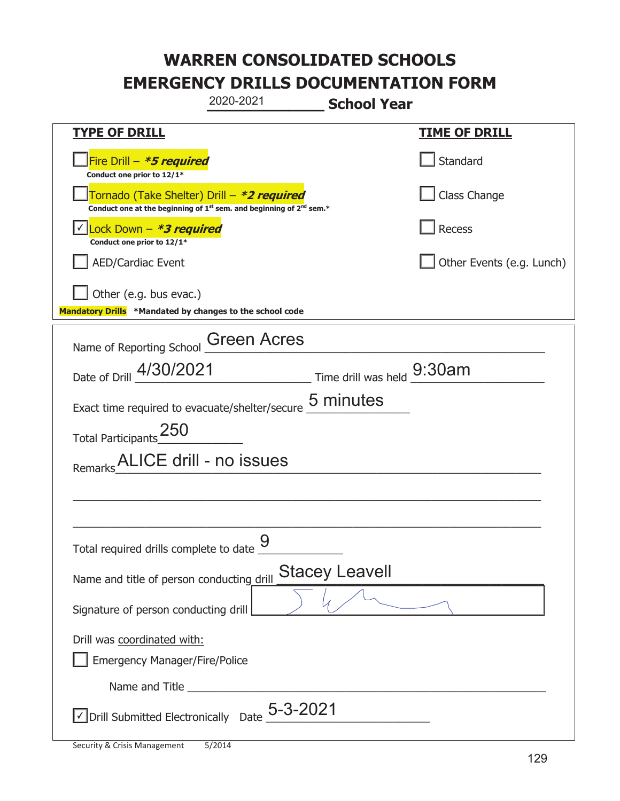|                                                                                    | 2020-2021                                                                                   | <b>School Year</b>          |                           |
|------------------------------------------------------------------------------------|---------------------------------------------------------------------------------------------|-----------------------------|---------------------------|
| <b>TYPE OF DRILL</b>                                                               |                                                                                             |                             | <u>TIME OF DRILL</u>      |
| Fire Drill - *5 required<br>Conduct one prior to 12/1*                             |                                                                                             |                             | Standard                  |
| Tornado (Take Shelter) Drill – *2 required                                         | Conduct one at the beginning of 1 <sup>st</sup> sem. and beginning of 2 <sup>nd</sup> sem.* |                             | Class Change              |
| Lock Down - <b>*3 required</b><br>Conduct one prior to 12/1*                       |                                                                                             |                             | Recess                    |
| <b>AED/Cardiac Event</b>                                                           |                                                                                             |                             | Other Events (e.g. Lunch) |
| Other (e.g. bus evac.)<br>Mandatory Drills *Mandated by changes to the school code |                                                                                             |                             |                           |
| Name of Reporting School                                                           | <b>Green Acres</b>                                                                          |                             |                           |
| Date of Drill 4/30/2021                                                            |                                                                                             | Time drill was held _9:30am |                           |
| Exact time required to evacuate/shelter/secure 5 minutes                           |                                                                                             |                             |                           |
| Total Participants_250                                                             |                                                                                             |                             |                           |
| Remarks ALICE drill - no issues                                                    |                                                                                             |                             |                           |
|                                                                                    |                                                                                             |                             |                           |
|                                                                                    |                                                                                             |                             |                           |
| Total required drills complete to date $\frac{9}{4}$                               |                                                                                             |                             |                           |
| Name and title of person conducting drill                                          |                                                                                             | <b>Stacey Leavell</b>       |                           |
| Signature of person conducting drill                                               |                                                                                             |                             |                           |
| Drill was coordinated with:                                                        |                                                                                             |                             |                           |
| <b>Emergency Manager/Fire/Police</b>                                               |                                                                                             |                             |                           |
|                                                                                    |                                                                                             |                             |                           |
| $\vee$ Drill Submitted Electronically Date $_2$ 5-3-2021                           |                                                                                             |                             |                           |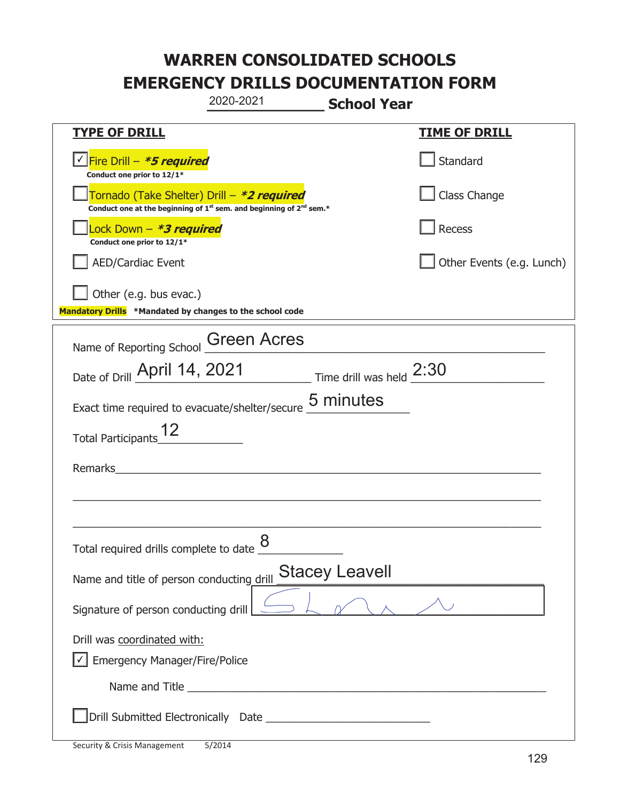|                                                                                    | 2020-2021                                                                                   | <b>School Year</b>       |                           |
|------------------------------------------------------------------------------------|---------------------------------------------------------------------------------------------|--------------------------|---------------------------|
| <b>TYPE OF DRILL</b>                                                               |                                                                                             |                          | <b>TIME OF DRILL</b>      |
| <u> √ Fire Drill – <i>*5 required</i></u><br>Conduct one prior to 12/1*            |                                                                                             |                          | Standard                  |
| Tornado (Take Shelter) Drill – *2 required                                         | Conduct one at the beginning of 1 <sup>st</sup> sem. and beginning of 2 <sup>nd</sup> sem.* |                          | Class Change              |
| Lock Down - *3 required<br>Conduct one prior to 12/1*                              |                                                                                             |                          | Recess                    |
| <b>AED/Cardiac Event</b>                                                           |                                                                                             |                          | Other Events (e.g. Lunch) |
| Other (e.g. bus evac.)<br>Mandatory Drills *Mandated by changes to the school code |                                                                                             |                          |                           |
| Name of Reporting School Green Acres                                               |                                                                                             |                          |                           |
| Date of Drill April 14, 2021                                                       |                                                                                             | Time drill was held 2:30 |                           |
| Exact time required to evacuate/shelter/secure 5 minutes                           |                                                                                             |                          |                           |
| <b>Total Participants</b>                                                          |                                                                                             |                          |                           |
| Remarks                                                                            |                                                                                             |                          |                           |
|                                                                                    |                                                                                             |                          |                           |
|                                                                                    |                                                                                             |                          |                           |
| Total required drills complete to date $\frac{8}{4}$                               |                                                                                             |                          |                           |
| Name and title of person conducting drill                                          |                                                                                             | <b>Stacey Leavell</b>    |                           |
| Signature of person conducting drill                                               |                                                                                             |                          |                           |
| Drill was coordinated with:                                                        |                                                                                             |                          |                           |
| <b>Emergency Manager/Fire/Police</b>                                               |                                                                                             |                          |                           |
|                                                                                    |                                                                                             |                          |                           |
|                                                                                    |                                                                                             |                          |                           |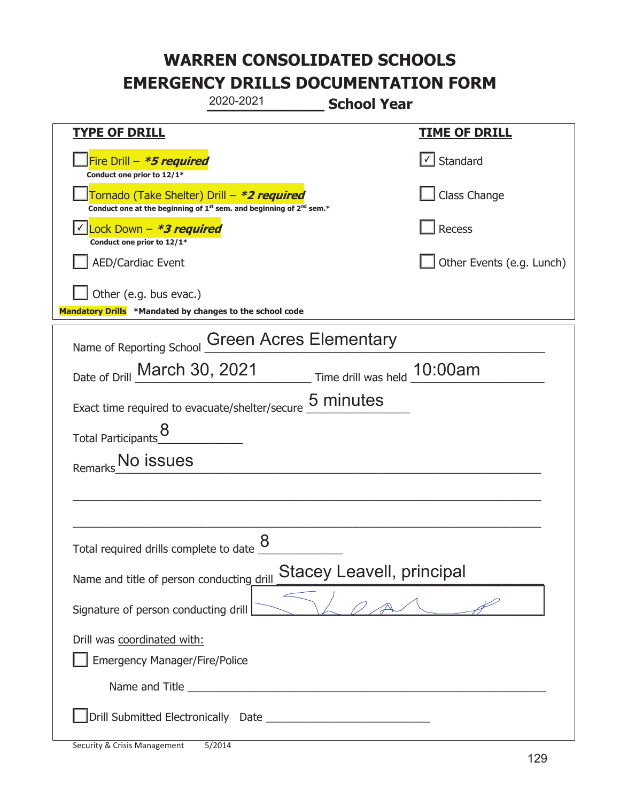|                                                                                    | 2020-2021                                                                                   | <b>School Year</b>          |                           |
|------------------------------------------------------------------------------------|---------------------------------------------------------------------------------------------|-----------------------------|---------------------------|
| <u>TYPE OF DRILL</u>                                                               |                                                                                             |                             | <b>TIME OF DRILL</b>      |
| Fire Drill - *5 required<br>Conduct one prior to 12/1*                             |                                                                                             |                             | √ Standard                |
| Tornado (Take Shelter) Drill – *2 required                                         | Conduct one at the beginning of 1 <sup>st</sup> sem. and beginning of 2 <sup>nd</sup> sem.* |                             | Class Change              |
| Lock Down - *3 required<br>Conduct one prior to 12/1*                              |                                                                                             |                             | Recess                    |
| AED/Cardiac Event                                                                  |                                                                                             |                             | Other Events (e.g. Lunch) |
| Other (e.g. bus evac.)<br>Mandatory Drills *Mandated by changes to the school code |                                                                                             |                             |                           |
| Name of Reporting School                                                           | <b>Green Acres Elementary</b>                                                               |                             |                           |
| Date of Drill March 30, 2021                                                       |                                                                                             | Time drill was held 10:00am |                           |
| Exact time required to evacuate/shelter/secure                                     |                                                                                             | 5 minutes                   |                           |
| Total Participants_8                                                               |                                                                                             |                             |                           |
| No issues<br>Remarks                                                               |                                                                                             |                             |                           |
|                                                                                    |                                                                                             |                             |                           |
|                                                                                    |                                                                                             |                             |                           |
| Total required drills complete to date $\frac{8}{5}$                               |                                                                                             |                             |                           |
| Name and title of person conducting drill                                          |                                                                                             | Stacey Leavell, principal   |                           |
| Signature of person conducting drill                                               |                                                                                             |                             |                           |
| Drill was coordinated with:                                                        |                                                                                             |                             |                           |
| <b>Emergency Manager/Fire/Police</b>                                               | Name and Title <b>Name and Title</b>                                                        |                             |                           |
|                                                                                    |                                                                                             |                             |                           |
|                                                                                    |                                                                                             |                             |                           |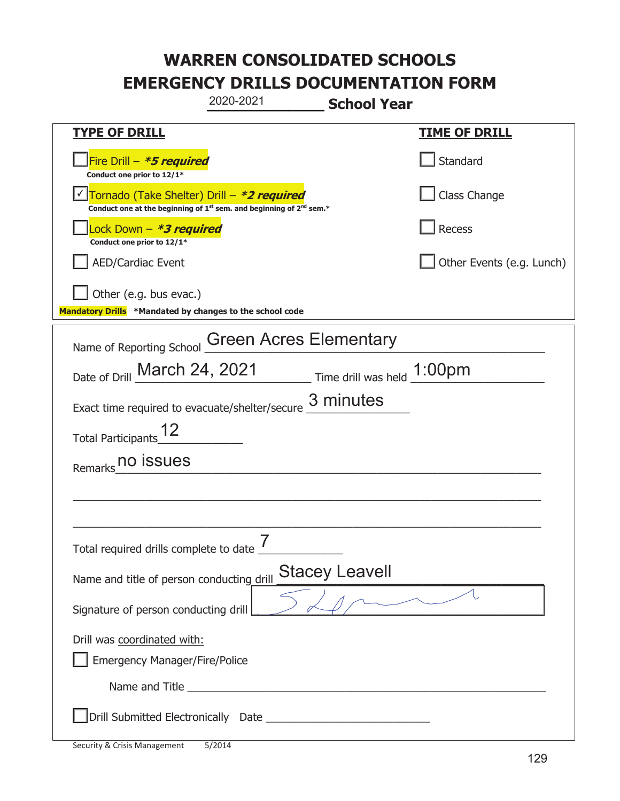|                                                                                    | 2020-2021                                                                                                                                                                                                                            | <b>School Year</b>          |                           |
|------------------------------------------------------------------------------------|--------------------------------------------------------------------------------------------------------------------------------------------------------------------------------------------------------------------------------------|-----------------------------|---------------------------|
| <b>TYPE OF DRILL</b>                                                               |                                                                                                                                                                                                                                      |                             | <b>TIME OF DRILL</b>      |
| Fire Drill - *5 required<br>Conduct one prior to 12/1*                             |                                                                                                                                                                                                                                      |                             | Standard                  |
| Tornado (Take Shelter) Drill – *2 required                                         | Conduct one at the beginning of 1 <sup>st</sup> sem. and beginning of 2 <sup>nd</sup> sem.*                                                                                                                                          |                             | Class Change              |
| Lock Down – <i>*<b>3 required</b></i><br>Conduct one prior to 12/1*                |                                                                                                                                                                                                                                      |                             | <b>Recess</b>             |
| <b>AED/Cardiac Event</b>                                                           |                                                                                                                                                                                                                                      |                             | Other Events (e.g. Lunch) |
| Other (e.g. bus evac.)<br>Mandatory Drills *Mandated by changes to the school code |                                                                                                                                                                                                                                      |                             |                           |
| Name of Reporting School                                                           | <b>Green Acres Elementary</b>                                                                                                                                                                                                        |                             |                           |
| Date of Drill March 24, 2021                                                       |                                                                                                                                                                                                                                      | Time drill was held _1:00pm |                           |
| Exact time required to evacuate/shelter/secure                                     |                                                                                                                                                                                                                                      | 3 minutes                   |                           |
| <b>Total Participants</b>                                                          |                                                                                                                                                                                                                                      |                             |                           |
| no issues<br>Remarks                                                               |                                                                                                                                                                                                                                      |                             |                           |
|                                                                                    |                                                                                                                                                                                                                                      |                             |                           |
|                                                                                    |                                                                                                                                                                                                                                      |                             |                           |
| Total required drills complete to date                                             |                                                                                                                                                                                                                                      |                             |                           |
| Name and title of person conducting drill                                          |                                                                                                                                                                                                                                      | <b>Stacey Leavell</b>       |                           |
| Signature of person conducting drill                                               |                                                                                                                                                                                                                                      | $\sim$ $\sim$ $\sim$        |                           |
| Drill was coordinated with:<br><b>Emergency Manager/Fire/Police</b>                |                                                                                                                                                                                                                                      |                             |                           |
|                                                                                    | Name and Title <b>contract the contract of the contract of the contract of the contract of the contract of the contract of the contract of the contract of the contract of the contract of the contract of the contract of the c</b> |                             |                           |
|                                                                                    |                                                                                                                                                                                                                                      |                             |                           |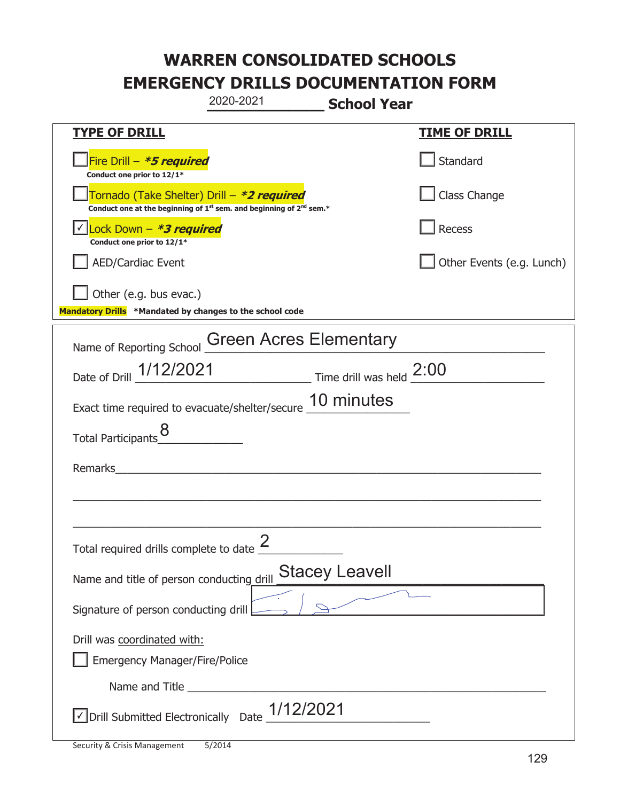|                                                                                    | 2020-2021                                                                                   | <b>School Year</b>    |                           |
|------------------------------------------------------------------------------------|---------------------------------------------------------------------------------------------|-----------------------|---------------------------|
| <b>TYPE OF DRILL</b>                                                               |                                                                                             |                       | <b>TIME OF DRILL</b>      |
| Fire Drill $-$ <i>*5 required</i><br>Conduct one prior to 12/1*                    |                                                                                             |                       | Standard                  |
| Tornado (Take Shelter) Drill – *2 required                                         | Conduct one at the beginning of 1 <sup>st</sup> sem. and beginning of 2 <sup>nd</sup> sem.* |                       | Class Change              |
| Lock Down - <b>*3 required</b><br>Conduct one prior to 12/1*                       |                                                                                             |                       | Recess                    |
| <b>AED/Cardiac Event</b>                                                           |                                                                                             |                       | Other Events (e.g. Lunch) |
| Other (e.g. bus evac.)<br>Mandatory Drills *Mandated by changes to the school code |                                                                                             |                       |                           |
| Name of Reporting School                                                           | <b>Green Acres Elementary</b>                                                               |                       |                           |
| Date of Drill 1/12/2021                                                            | Time drill was held 2:00                                                                    |                       |                           |
| Exact time required to evacuate/shelter/secure 10 minutes                          |                                                                                             |                       |                           |
| Total Participants                                                                 |                                                                                             |                       |                           |
| Remarks                                                                            | <u> 1989 - John Stein, mars and de Brandenberg (b. 1989)</u>                                |                       |                           |
|                                                                                    |                                                                                             |                       |                           |
| Total required drills complete to date $\leq$                                      |                                                                                             |                       |                           |
| Name and title of person conducting drill                                          |                                                                                             | <b>Stacey Leavell</b> |                           |
| Signature of person conducting drill                                               |                                                                                             |                       |                           |
| Drill was coordinated with:                                                        |                                                                                             |                       |                           |
| <b>Emergency Manager/Fire/Police</b>                                               |                                                                                             |                       |                           |
|                                                                                    |                                                                                             |                       |                           |
| $\sqrt{\phantom{a}}$ Drill Submitted Electronically Date $\_$ 1/12/2021            |                                                                                             |                       |                           |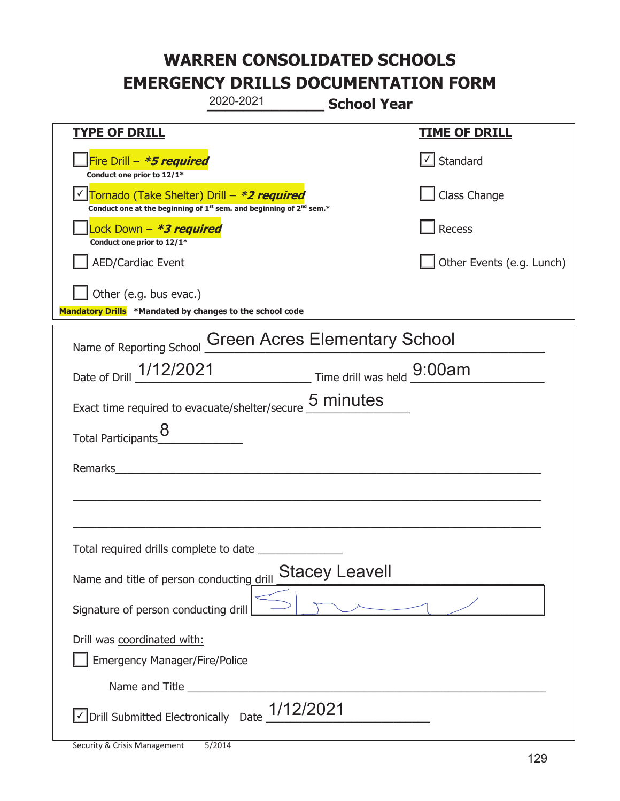|                                                                                    | 2020-2021                                                                                   | <b>School Year</b> |                           |
|------------------------------------------------------------------------------------|---------------------------------------------------------------------------------------------|--------------------|---------------------------|
| <b>TYPE OF DRILL</b>                                                               |                                                                                             |                    | <b>TIME OF DRILL</b>      |
| Fire Drill - *5 required<br>Conduct one prior to 12/1*                             |                                                                                             |                    | √ Standard                |
| √ Tornado (Take Shelter) Drill – *2 required                                       | Conduct one at the beginning of 1 <sup>st</sup> sem. and beginning of 2 <sup>nd</sup> sem.* |                    | Class Change              |
| Lock Down - *3 required<br>Conduct one prior to 12/1*                              |                                                                                             |                    | Recess                    |
| AED/Cardiac Event                                                                  |                                                                                             |                    | Other Events (e.g. Lunch) |
| Other (e.g. bus evac.)<br>Mandatory Drills *Mandated by changes to the school code |                                                                                             |                    |                           |
| Name of Reporting School                                                           | <b>Green Acres Elementary School</b>                                                        |                    |                           |
| Date of Drill 1/12/2021 Time drill was held 9:00am                                 |                                                                                             |                    |                           |
| Exact time required to evacuate/shelter/secure 5 minutes                           |                                                                                             |                    |                           |
| Total Participants_8                                                               |                                                                                             |                    |                           |
| Remarks                                                                            |                                                                                             |                    |                           |
|                                                                                    |                                                                                             |                    |                           |
|                                                                                    |                                                                                             |                    |                           |
| Total required drills complete to date                                             |                                                                                             |                    |                           |
| Name and title of person conducting_drill                                          | <b>Stacey Leavell</b>                                                                       |                    |                           |
| Signature of person conducting drill                                               |                                                                                             |                    |                           |
| Drill was coordinated with:                                                        |                                                                                             |                    |                           |
| <b>Emergency Manager/Fire/Police</b>                                               |                                                                                             |                    |                           |
|                                                                                    |                                                                                             |                    |                           |
| √ Drill Submitted Electronically Date                                              | 1/12/2021                                                                                   |                    |                           |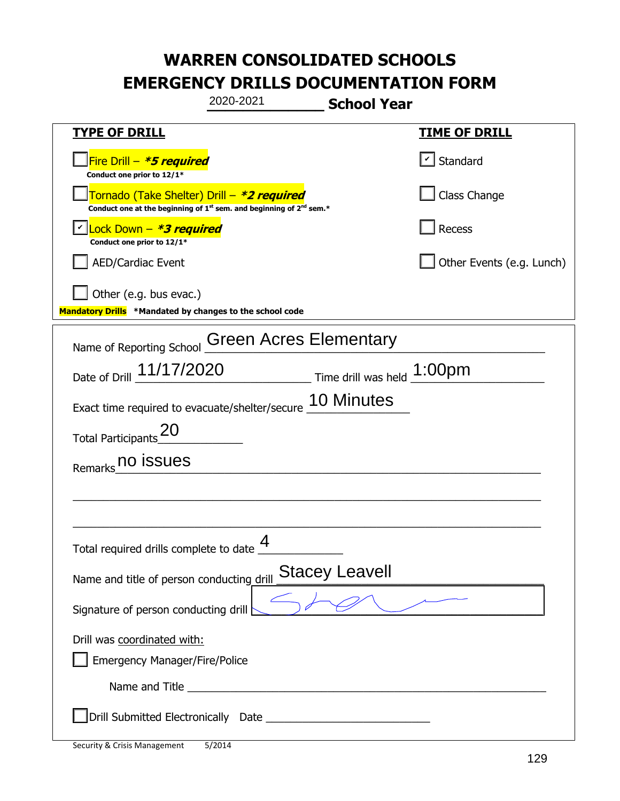|                                                                                                                                           | 2020-2021                                                                                                                                                                                                                            | <b>School Year</b>                 |                           |  |
|-------------------------------------------------------------------------------------------------------------------------------------------|--------------------------------------------------------------------------------------------------------------------------------------------------------------------------------------------------------------------------------------|------------------------------------|---------------------------|--|
| <b>TYPE OF DRILL</b>                                                                                                                      |                                                                                                                                                                                                                                      |                                    | <u>TIME OF DRILL</u>      |  |
| Fire Drill - *5 required<br>Conduct one prior to 12/1*                                                                                    |                                                                                                                                                                                                                                      |                                    | $\vert$ Standard          |  |
| Tornado (Take Shelter) Drill – *2 required<br>Conduct one at the beginning of 1 <sup>st</sup> sem. and beginning of 2 <sup>nd</sup> sem.* |                                                                                                                                                                                                                                      |                                    | Class Change              |  |
| Lock Down - *3 required<br>Conduct one prior to 12/1*                                                                                     |                                                                                                                                                                                                                                      |                                    | Recess                    |  |
| <b>AED/Cardiac Event</b>                                                                                                                  |                                                                                                                                                                                                                                      |                                    | Other Events (e.g. Lunch) |  |
| Other (e.g. bus evac.)<br>Mandatory Drills *Mandated by changes to the school code                                                        |                                                                                                                                                                                                                                      |                                    |                           |  |
| Name of Reporting School                                                                                                                  | <b>Green Acres Elementary</b>                                                                                                                                                                                                        |                                    |                           |  |
| Date of Drill 11/17/2020                                                                                                                  |                                                                                                                                                                                                                                      | $\_$ Time drill was held $1:00$ pm |                           |  |
| Exact time required to evacuate/shelter/secure                                                                                            |                                                                                                                                                                                                                                      | 10 Minutes                         |                           |  |
| Total Participants $\frac{20}{2}$                                                                                                         |                                                                                                                                                                                                                                      |                                    |                           |  |
| no issues<br>Remarks                                                                                                                      |                                                                                                                                                                                                                                      |                                    |                           |  |
|                                                                                                                                           |                                                                                                                                                                                                                                      |                                    |                           |  |
|                                                                                                                                           |                                                                                                                                                                                                                                      |                                    |                           |  |
| Total required drills complete to date                                                                                                    | 4                                                                                                                                                                                                                                    |                                    |                           |  |
| Name and title of person conducting drill                                                                                                 |                                                                                                                                                                                                                                      | <b>Stacey Leavell</b>              |                           |  |
| Signature of person conducting drill                                                                                                      |                                                                                                                                                                                                                                      |                                    |                           |  |
| Drill was coordinated with:                                                                                                               |                                                                                                                                                                                                                                      |                                    |                           |  |
| <b>Emergency Manager/Fire/Police</b>                                                                                                      |                                                                                                                                                                                                                                      |                                    |                           |  |
|                                                                                                                                           | Name and Title <b>contract the contract of the service of the contract of the contract of the contract of the contract of the contract of the contract of the contract of the contract of the contract of the contract of the co</b> |                                    |                           |  |
|                                                                                                                                           |                                                                                                                                                                                                                                      |                                    |                           |  |
| <b>Security &amp; Crisis Management</b>                                                                                                   | 5/2014                                                                                                                                                                                                                               |                                    | 129                       |  |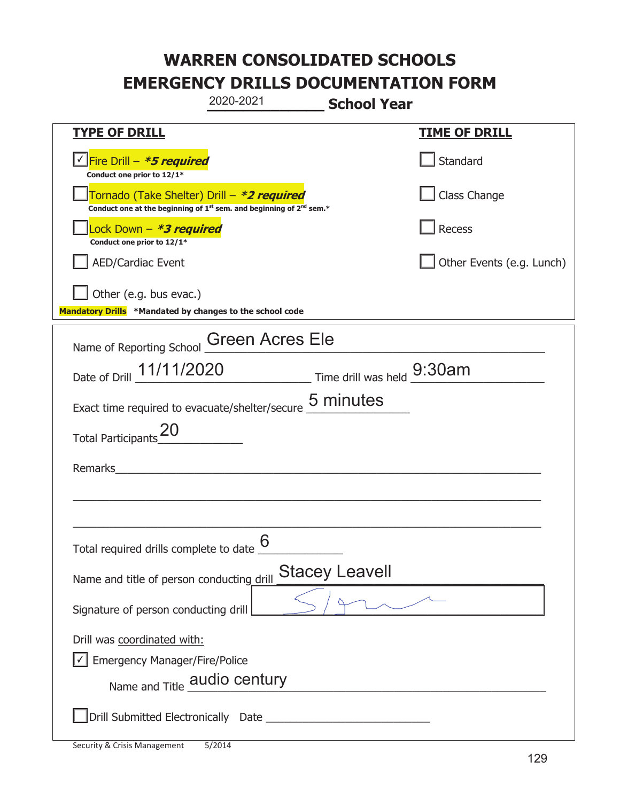|                                                                                                                                           | 2020-2021 | <b>School Year</b>    |                           |
|-------------------------------------------------------------------------------------------------------------------------------------------|-----------|-----------------------|---------------------------|
| <b>TYPE OF DRILL</b>                                                                                                                      |           |                       | <b>TIME OF DRILL</b>      |
| <u> √ Fire Drill – <i>*5 required</i></u><br>Conduct one prior to 12/1*                                                                   |           |                       | Standard                  |
| Tornado (Take Shelter) Drill – *2 required<br>Conduct one at the beginning of 1 <sup>st</sup> sem. and beginning of 2 <sup>nd</sup> sem.* |           |                       | Class Change              |
| Lock Down – <b>*3 required</b><br>Conduct one prior to 12/1*                                                                              |           |                       | Recess                    |
| <b>AED/Cardiac Event</b>                                                                                                                  |           |                       | Other Events (e.g. Lunch) |
| $\vert$ Other (e.g. bus evac.)<br>Mandatory Drills *Mandated by changes to the school code                                                |           |                       |                           |
| Name of Reporting School Green Acres Ele                                                                                                  |           |                       |                           |
| Date of Drill 11/11/2020 Time drill was held 9:30am                                                                                       |           |                       |                           |
| Exact time required to evacuate/shelter/secure 5 minutes                                                                                  |           |                       |                           |
| <b>Total Participants</b>                                                                                                                 |           |                       |                           |
| Remarks                                                                                                                                   |           |                       |                           |
|                                                                                                                                           |           |                       |                           |
|                                                                                                                                           |           |                       |                           |
| Total required drills complete to date $6 \overline{6}$                                                                                   |           |                       |                           |
| Name and title of person conducting drill                                                                                                 |           | <b>Stacey Leavell</b> |                           |
| Signature of person conducting drill                                                                                                      |           |                       |                           |
| Drill was coordinated with:                                                                                                               |           |                       |                           |
| Emergency Manager/Fire/Police                                                                                                             |           |                       |                           |
| Name and Title <b>audio century</b>                                                                                                       |           |                       |                           |
|                                                                                                                                           |           |                       |                           |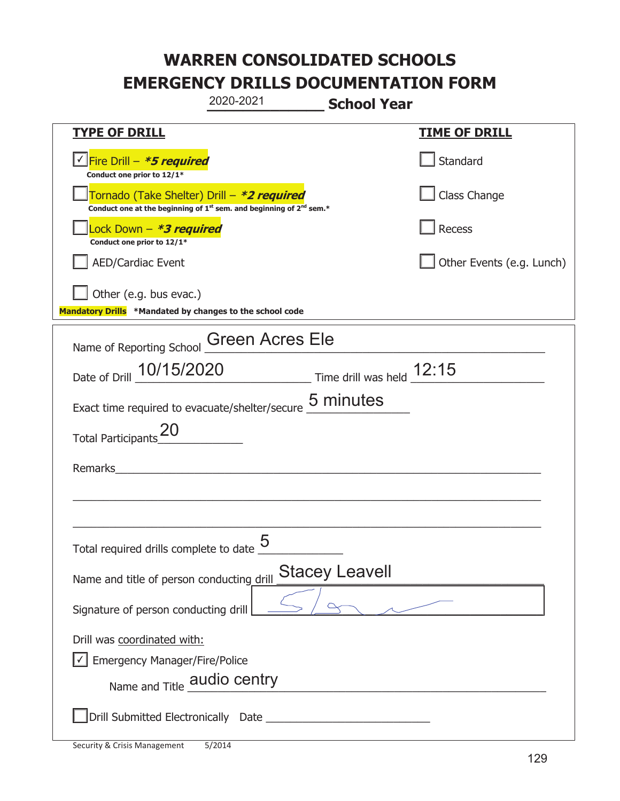|                                                                                    | 2020-2021                                                                                   | <b>School Year</b>    |                           |
|------------------------------------------------------------------------------------|---------------------------------------------------------------------------------------------|-----------------------|---------------------------|
| <b>TYPE OF DRILL</b>                                                               |                                                                                             |                       | <b>TIME OF DRILL</b>      |
| Fire Drill - *5 required<br>Conduct one prior to 12/1*                             |                                                                                             |                       | Standard                  |
| Tornado (Take Shelter) Drill – *2 required                                         | Conduct one at the beginning of 1 <sup>st</sup> sem. and beginning of 2 <sup>nd</sup> sem.* |                       | Class Change              |
| Lock Down - *3 required<br>Conduct one prior to 12/1*                              |                                                                                             |                       | Recess                    |
| <b>AED/Cardiac Event</b>                                                           |                                                                                             |                       | Other Events (e.g. Lunch) |
| Other (e.g. bus evac.)<br>Mandatory Drills *Mandated by changes to the school code |                                                                                             |                       |                           |
| Name of Reporting School Green Acres Ele                                           |                                                                                             |                       |                           |
| Date of Drill 10/15/2020 Time drill was held 12:15                                 |                                                                                             |                       |                           |
| Exact time required to evacuate/shelter/secure 5 minutes                           |                                                                                             |                       |                           |
| <b>Total Participants</b>                                                          |                                                                                             |                       |                           |
| Remarks                                                                            |                                                                                             |                       |                           |
|                                                                                    |                                                                                             |                       |                           |
| Total required drills complete to date $\underline{\mathsf{5}}$                    |                                                                                             |                       |                           |
| Name and title of person conducting drill                                          |                                                                                             | <b>Stacey Leavell</b> |                           |
| Signature of person conducting drill                                               |                                                                                             |                       |                           |
| Drill was coordinated with:                                                        |                                                                                             |                       |                           |
| <b>Emergency Manager/Fire/Police</b>                                               |                                                                                             |                       |                           |
| Name and Title <b>audio centry</b>                                                 |                                                                                             |                       |                           |
|                                                                                    |                                                                                             |                       |                           |